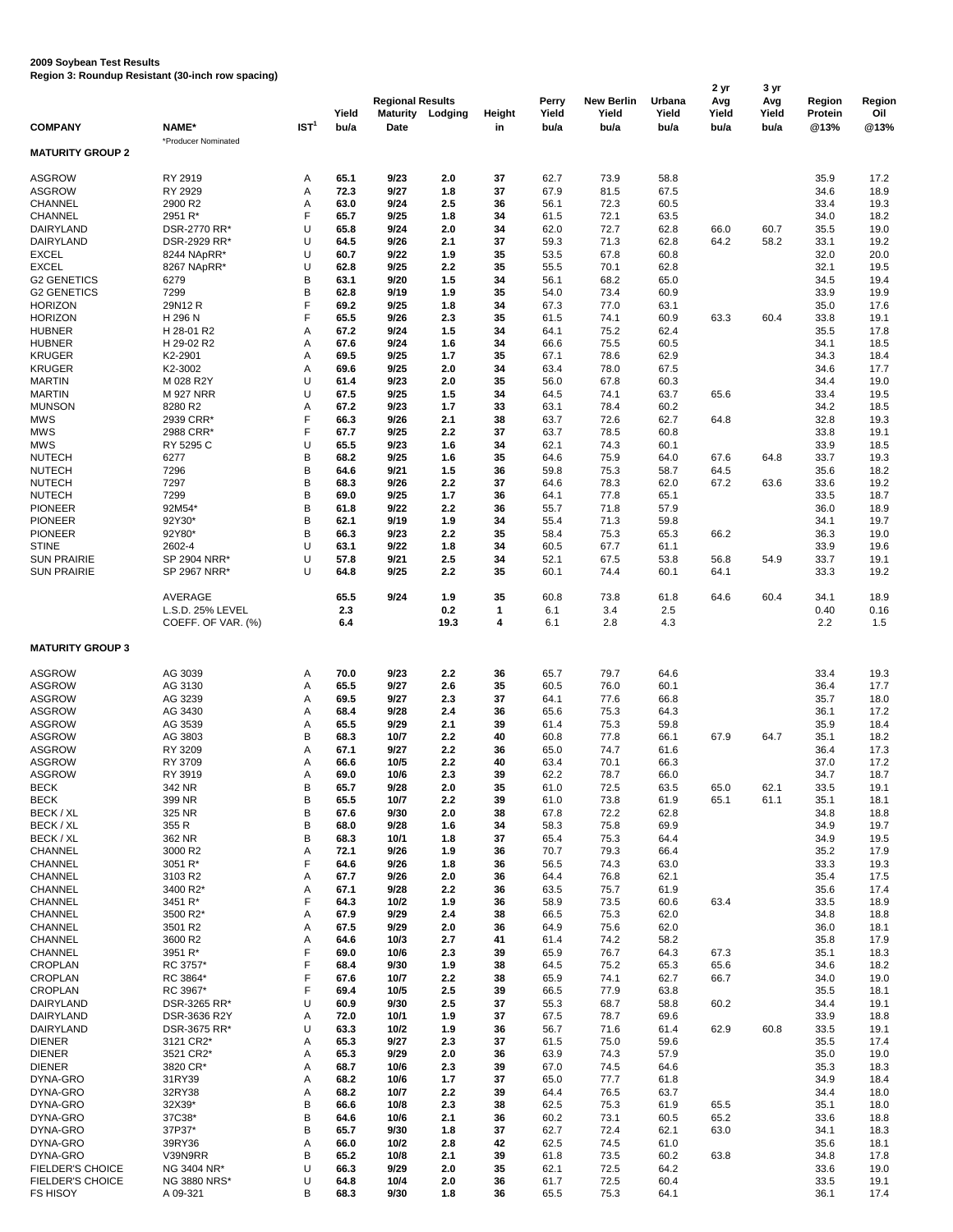## **2009 Soybean Test Results**

**Region 3: Roundup Resistant (30-inch row spacing)**

| <b>COMPANY</b>                      | <b>NAME*</b>               | IST <sup>1</sup> | Yield<br>bu/a | <b>Regional Results</b><br><b>Maturity</b><br><b>Date</b> | Lodging      | <b>Height</b><br>in | <b>Perry</b><br>Yield<br>bu/a | <b>New Berlin</b><br>Yield<br>bu/a | <b>Urbana</b><br>Yield<br>bu/a | 2 yr<br>Avg<br>Yield<br>bu/a | 3 yr<br>Avg<br>Yield<br>bu/a | <b>Region</b><br>Protein<br>@13% | <b>Region</b><br>Oil<br>@13% |
|-------------------------------------|----------------------------|------------------|---------------|-----------------------------------------------------------|--------------|---------------------|-------------------------------|------------------------------------|--------------------------------|------------------------------|------------------------------|----------------------------------|------------------------------|
| <b>MATURITY GROUP 2</b>             | *Producer Nominated        |                  |               |                                                           |              |                     |                               |                                    |                                |                              |                              |                                  |                              |
| <b>ASGROW</b>                       | RY 2919                    | Α                | 65.1          | 9/23                                                      | 2.0          | 37                  | 62.7                          | 73.9                               | 58.8                           |                              |                              | 35.9                             | 17.2                         |
| <b>ASGROW</b>                       | RY 2929                    | Α                | 72.3          | 9/27                                                      | 1.8          | 37                  | 67.9                          | 81.5                               | 67.5                           |                              |                              | 34.6                             | 18.9                         |
| <b>CHANNEL</b>                      | 2900 R2                    | А                | 63.0          | 9/24                                                      | 2.5          | 36                  | 56.1                          | 72.3                               | 60.5                           |                              |                              | 33.4                             | 19.3                         |
| <b>CHANNEL</b>                      | 2951 R*                    | F                | 65.7          | 9/25                                                      | 1.8          | 34                  | 61.5                          | 72.1                               | 63.5                           |                              |                              | 34.0                             | 18.2                         |
| <b>DAIRYLAND</b>                    | DSR-2770 RR*               | U                | 65.8          | 9/24                                                      | 2.0          | 34                  | 62.0                          | 72.7                               | 62.8                           | 66.0                         | 60.7                         | 35.5                             | 19.0                         |
| <b>DAIRYLAND</b>                    | DSR-2929 RR*               | U                | 64.5          | 9/26                                                      | 2.1          | 37                  | 59.3                          | 71.3                               | 62.8                           | 64.2                         | 58.2                         | 33.1                             | 19.2                         |
| <b>EXCEL</b><br><b>EXCEL</b>        | 8244 NApRR*<br>8267 NApRR* | U<br>U           | 60.7<br>62.8  | 9/22<br>9/25                                              | 1.9<br>2.2   | 35<br>35            | 53.5<br>55.5                  | 67.8<br>70.1                       | 60.8<br>62.8                   |                              |                              | 32.0<br>32.1                     | 20.0<br>19.5                 |
| <b>G2 GENETICS</b>                  | 6279                       | B                | 63.1          | 9/20                                                      | 1.5          | 34                  | 56.1                          | 68.2                               | 65.0                           |                              |                              | 34.5                             | 19.4                         |
| <b>G2 GENETICS</b>                  | 7299                       | B                | 62.8          | 9/19                                                      | 1.9          | 35                  | 54.0                          | 73.4                               | 60.9                           |                              |                              | 33.9                             | 19.9                         |
| <b>HORIZON</b>                      | 29N12 R                    | F                | 69.2          | 9/25                                                      | 1.8          | 34                  | 67.3                          | 77.0                               | 63.1                           |                              |                              | 35.0                             | 17.6                         |
| <b>HORIZON</b>                      | H 296 N                    | F                | 65.5          | 9/26                                                      | 2.3          | 35                  | 61.5                          | 74.1                               | 60.9                           | 63.3                         | 60.4                         | 33.8                             | 19.1                         |
| <b>HUBNER</b><br><b>HUBNER</b>      | H 28-01 R2<br>H 29-02 R2   | Α<br>А           | 67.2<br>67.6  | 9/24<br>9/24                                              | 1.5<br>1.6   | 34<br>34            | 64.1<br>66.6                  | 75.2<br>75.5                       | 62.4<br>60.5                   |                              |                              | 35.5<br>34.1                     | 17.8<br>18.5                 |
| <b>KRUGER</b>                       | K2-2901                    | Α                | 69.5          | 9/25                                                      | $1.7$        | 35                  | 67.1                          | 78.6                               | 62.9                           |                              |                              | 34.3                             | 18.4                         |
| <b>KRUGER</b>                       | K2-3002                    | Α                | 69.6          | 9/25                                                      | 2.0          | 34                  | 63.4                          | 78.0                               | 67.5                           |                              |                              | 34.6                             | 17.7                         |
| <b>MARTIN</b>                       | M 028 R2Y                  | U                | 61.4          | 9/23                                                      | 2.0          | 35                  | 56.0                          | 67.8                               | 60.3                           |                              |                              | 34.4                             | 19.0                         |
| <b>MARTIN</b>                       | <b>M 927 NRR</b>           | U                | 67.5          | 9/25                                                      | 1.5          | 34                  | 64.5                          | 74.1                               | 63.7                           | 65.6                         |                              | 33.4                             | 19.5                         |
| <b>MUNSON</b><br><b>MWS</b>         | 8280 R2<br>2939 CRR*       | Α<br>F           | 67.2<br>66.3  | 9/23<br>9/26                                              | $1.7$<br>2.1 | 33<br>38            | 63.1<br>63.7                  | 78.4<br>72.6                       | 60.2<br>62.7                   | 64.8                         |                              | 34.2<br>32.8                     | 18.5<br>19.3                 |
| <b>MWS</b>                          | 2988 CRR*                  | F                | 67.7          | 9/25                                                      | 2.2          | 37                  | 63.7                          | 78.5                               | 60.8                           |                              |                              | 33.8                             | 19.1                         |
| <b>MWS</b>                          | RY 5295 C                  | U                | 65.5          | 9/23                                                      | 1.6          | 34                  | 62.1                          | 74.3                               | 60.1                           |                              |                              | 33.9                             | 18.5                         |
| <b>NUTECH</b>                       | 6277                       | B                | 68.2          | 9/25                                                      | 1.6          | 35                  | 64.6                          | 75.9                               | 64.0                           | 67.6                         | 64.8                         | 33.7                             | 19.3                         |
| <b>NUTECH</b>                       | 7296                       | B                | 64.6          | 9/21                                                      | 1.5          | 36                  | 59.8                          | 75.3                               | 58.7                           | 64.5                         |                              | 35.6                             | 18.2                         |
| <b>NUTECH</b>                       | 7297                       | B                | 68.3          | 9/26                                                      | 2.2          | 37                  | 64.6                          | 78.3                               | 62.0                           | 67.2                         | 63.6                         | 33.6                             | 19.2                         |
| <b>NUTECH</b><br><b>PIONEER</b>     | 7299<br>92M54*             | B<br>B           | 69.0<br>61.8  | 9/25<br>9/22                                              | $1.7$<br>2.2 | 36<br>36            | 64.1<br>55.7                  | 77.8<br>71.8                       | 65.1<br>57.9                   |                              |                              | 33.5<br>36.0                     | 18.7<br>18.9                 |
| <b>PIONEER</b>                      | 92Y30*                     | B                | 62.1          | 9/19                                                      | 1.9          | 34                  | 55.4                          | 71.3                               | 59.8                           |                              |                              | 34.1                             | 19.7                         |
| <b>PIONEER</b>                      | 92Y80*                     | B                | 66.3          | 9/23                                                      | 2.2          | 35                  | 58.4                          | 75.3                               | 65.3                           | 66.2                         |                              | 36.3                             | 19.0                         |
| <b>STINE</b>                        | 2602-4                     | U                | 63.1          | 9/22                                                      | 1.8          | 34                  | 60.5                          | 67.7                               | 61.1                           |                              |                              | 33.9                             | 19.6                         |
| <b>SUN PRAIRIE</b>                  | SP 2904 NRR*               | U                | 57.8          | 9/21                                                      | 2.5          | 34                  | 52.1                          | 67.5                               | 53.8                           | 56.8                         | 54.9                         | 33.7                             | 19.1                         |
| <b>SUN PRAIRIE</b>                  | SP 2967 NRR*               | U                | 64.8          | 9/25                                                      | 2.2          | 35                  | 60.1                          | 74.4                               | 60.1                           | 64.1                         |                              | 33.3                             | 19.2                         |
|                                     | AVERAGE                    |                  | 65.5          | 9/24                                                      | 1.9          | 35                  | 60.8                          | 73.8                               | 61.8                           | 64.6                         | 60.4                         | 34.1                             | 18.9                         |
|                                     | L.S.D. 25% LEVEL           |                  | 2.3           |                                                           | 0.2          | $\mathbf 1$         | 6.1                           | 3.4                                | 2.5                            |                              |                              | 0.40                             | 0.16                         |
|                                     | COEFF. OF VAR. (%)         |                  | 6.4           |                                                           | 19.3         | 4                   | 6.1                           | 2.8                                | 4.3                            |                              |                              | 2.2                              | 1.5                          |
| <b>MATURITY GROUP 3</b>             |                            |                  |               |                                                           |              |                     |                               |                                    |                                |                              |                              |                                  |                              |
|                                     |                            |                  |               |                                                           |              |                     |                               |                                    |                                |                              |                              |                                  |                              |
| <b>ASGROW</b><br><b>ASGROW</b>      | AG 3039<br>AG 3130         | A                | 70.0<br>65.5  | 9/23<br>9/27                                              | 2.2<br>2.6   | 36<br>35            | 65.7<br>60.5                  | 79.7<br>76.0                       | 64.6<br>60.1                   |                              |                              | 33.4<br>36.4                     | 19.3<br>17.7                 |
| <b>ASGROW</b>                       | AG 3239                    | Α<br>Α           | 69.5          | 9/27                                                      | 2.3          | 37                  | 64.1                          | 77.6                               | 66.8                           |                              |                              | 35.7                             | 18.0                         |
| <b>ASGROW</b>                       | AG 3430                    | Α                | 68.4          | 9/28                                                      | 2.4          | 36                  | 65.6                          | 75.3                               | 64.3                           |                              |                              | 36.1                             | 17.2                         |
| <b>ASGROW</b>                       | AG 3539                    | Α                | 65.5          | 9/29                                                      | 2.1          | 39                  | 61.4                          | 75.3                               | 59.8                           |                              |                              | 35.9                             | 18.4                         |
| <b>ASGROW</b>                       | AG 3803                    | B                | 68.3          | 10/7                                                      | 2.2          | 40                  | 60.8                          | 77.8                               | 66.1                           | 67.9                         | 64.7                         | 35.1                             | 18.2                         |
| <b>ASGROW</b><br><b>ASGROW</b>      | RY 3209<br>RY 3709         | А<br>A           | 67.1<br>66.6  | 9/27<br>10/5                                              | 2.2<br>2.2   | 36<br>40            | 65.0<br>63.4                  | 74.7<br>70.1                       | 61.6<br>66.3                   |                              |                              | 36.4<br>37.0                     | 17.3<br>17.2                 |
| <b>ASGROW</b>                       | RY 3919                    | A                | 69.0          | 10/6                                                      | 2.3          | 39                  | 62.2                          | 78.7                               | 66.0                           |                              |                              | 34.7                             | 18.7                         |
| <b>BECK</b>                         | 342 NR                     | B                | 65.7          | 9/28                                                      | 2.0          | 35                  | 61.0                          | 72.5                               | 63.5                           | 65.0                         | 62.1                         | 33.5                             | 19.1                         |
| <b>BECK</b>                         | 399 NR                     | B                | 65.5          | 10/7                                                      | 2.2          | 39                  | 61.0                          | 73.8                               | 61.9                           | 65.1                         | 61.1                         | 35.1                             | 18.1                         |
| BECK / XL                           | 325 NR                     | B                | 67.6          | 9/30                                                      | 2.0          | 38                  | 67.8                          | 72.2                               | 62.8                           |                              |                              | 34.8                             | 18.8                         |
| BECK / XL                           | 355 R                      | B<br>B           | 68.0<br>68.3  | 9/28                                                      | 1.6          | 34                  | 58.3                          | 75.8                               | 69.9                           |                              |                              | 34.9                             | 19.7                         |
| BECK / XL<br><b>CHANNEL</b>         | 362 NR<br>3000 R2          | A                | 72.1          | 10/1<br>9/26                                              | 1.8<br>1.9   | 37<br>36            | 65.4<br>70.7                  | 75.3<br>79.3                       | 64.4<br>66.4                   |                              |                              | 34.9<br>35.2                     | 19.5<br>17.9                 |
| <b>CHANNEL</b>                      | 3051 R*                    | F                | 64.6          | 9/26                                                      | 1.8          | 36                  | 56.5                          | 74.3                               | 63.0                           |                              |                              | 33.3                             | 19.3                         |
| <b>CHANNEL</b>                      | 3103 R2                    | Α                | 67.7          | 9/26                                                      | 2.0          | 36                  | 64.4                          | 76.8                               | 62.1                           |                              |                              | 35.4                             | 17.5                         |
| <b>CHANNEL</b>                      | 3400 R2*                   | А                | 67.1          | 9/28                                                      | 2.2          | 36                  | 63.5                          | 75.7                               | 61.9                           |                              |                              | 35.6                             | 17.4                         |
| <b>CHANNEL</b>                      | 3451 R*                    | F                | 64.3          | 10/2                                                      | 1.9          | 36                  | 58.9                          | 73.5                               | 60.6                           | 63.4                         |                              | 33.5                             | 18.9                         |
| <b>CHANNEL</b><br><b>CHANNEL</b>    | 3500 R2*<br>3501 R2        | Α<br>Α           | 67.9<br>67.5  | 9/29<br>9/29                                              | 2.4<br>2.0   | 38<br>36            | 66.5<br>64.9                  | 75.3<br>75.6                       | 62.0<br>62.0                   |                              |                              | 34.8<br>36.0                     | 18.8<br>18.1                 |
| <b>CHANNEL</b>                      | 3600 R2                    | Α                | 64.6          | 10/3                                                      | 2.7          | 41                  | 61.4                          | 74.2                               | 58.2                           |                              |                              | 35.8                             | 17.9                         |
| <b>CHANNEL</b>                      | 3951 R*                    | F                | 69.0          | 10/6                                                      | 2.3          | 39                  | 65.9                          | 76.7                               | 64.3                           | 67.3                         |                              | 35.1                             | 18.3                         |
| <b>CROPLAN</b>                      | RC 3757*                   | F                | 68.4          | 9/30                                                      | 1.9          | 38                  | 64.5                          | 75.2                               | 65.3                           | 65.6                         |                              | 34.6                             | 18.2                         |
| <b>CROPLAN</b>                      | RC 3864*                   | F                | 67.6          | 10/7                                                      | 2.2          | 38                  | 65.9                          | 74.1                               | 62.7                           | 66.7                         |                              | 34.0                             | 19.0                         |
| <b>CROPLAN</b><br><b>DAIRYLAND</b>  | RC 3967*<br>DSR-3265 RR*   | U                | 69.4<br>60.9  | 10/5<br>9/30                                              | 2.5<br>2.5   | 39<br>37            | 66.5<br>55.3                  | 77.9<br>68.7                       | 63.8<br>58.8                   | 60.2                         |                              | 35.5<br>34.4                     | 18.1<br>19.1                 |
| DAIRYLAND                           | DSR-3636 R2Y               | Α                | 72.0          | 10/1                                                      | 1.9          | 37                  | 67.5                          | 78.7                               | 69.6                           |                              |                              | 33.9                             | 18.8                         |
| <b>DAIRYLAND</b>                    | DSR-3675 RR*               | U                | 63.3          | $10/2$                                                    | 1.9          | 36                  | 56.7                          | 71.6                               | 61.4                           | 62.9                         | 60.8                         | 33.5                             | 19.1                         |
| <b>DIENER</b>                       | 3121 CR2*                  | Α                | 65.3          | 9/27                                                      | 2.3          | 37                  | 61.5                          | 75.0                               | 59.6                           |                              |                              | 35.5                             | 17.4                         |
| <b>DIENER</b>                       | 3521 CR2*                  | A                | 65.3          | 9/29                                                      | 2.0          | 36                  | 63.9                          | 74.3                               | 57.9                           |                              |                              | 35.0                             | 19.0                         |
| <b>DIENER</b><br>DYNA-GRO           | 3820 CR*<br>31RY39         | Α<br>A           | 68.7<br>68.2  | 10/6<br>10/6                                              | 2.3<br>$1.7$ | 39<br>37            | 67.0<br>65.0                  | 74.5<br>77.7                       | 64.6<br>61.8                   |                              |                              | 35.3<br>34.9                     | 18.3<br>18.4                 |
| DYNA-GRO                            | 32RY38                     | Α                | 68.2          | 10/7                                                      | 2.2          | 39                  | 64.4                          | 76.5                               | 63.7                           |                              |                              | 34.4                             | 18.0                         |
| DYNA-GRO                            | 32X39*                     | B                | 66.6          | 10/8                                                      | 2.3          | 38                  | 62.5                          | 75.3                               | 61.9                           | 65.5                         |                              | 35.1                             | 18.0                         |
| DYNA-GRO                            | 37C38*                     | B                | 64.6          | 10/6                                                      | 2.1          | 36                  | 60.2                          | 73.1                               | 60.5                           | 65.2                         |                              | 33.6                             | 18.8                         |
| DYNA-GRO                            | 37P37*                     | B                | 65.7          | 9/30                                                      | 1.8          | 37                  | 62.7                          | 72.4                               | 62.1                           | 63.0                         |                              | 34.1                             | 18.3                         |
| DYNA-GRO                            | 39RY36                     | Α                | 66.0<br>65.2  | 10/2                                                      | 2.8          | 42                  | 62.5                          | 74.5                               | 61.0                           |                              |                              | 35.6                             | 18.1                         |
| DYNA-GRO<br><b>FIELDER'S CHOICE</b> | V39N9RR<br>NG 3404 NR*     | B<br>U           | 66.3          | 10/8<br>9/29                                              | 2.1<br>2.0   | 39<br>35            | 61.8<br>62.1                  | 73.5<br>72.5                       | 60.2<br>64.2                   | 63.8                         |                              | 34.8<br>33.6                     | 17.8<br>19.0                 |
| <b>FIELDER'S CHOICE</b>             | <b>NG 3880 NRS*</b>        | U                | 64.8          | 10/4                                                      | 2.0          | 36                  | 61.7                          | 72.5                               | 60.4                           |                              |                              | 33.5                             | 19.1                         |
| <b>FS HISOY</b>                     | A 09-321                   | В                | 68.3          | 9/30                                                      | 1.8          | 36                  | 65.5                          | 75.3                               | 64.1                           |                              |                              | 36.1                             | 17.4                         |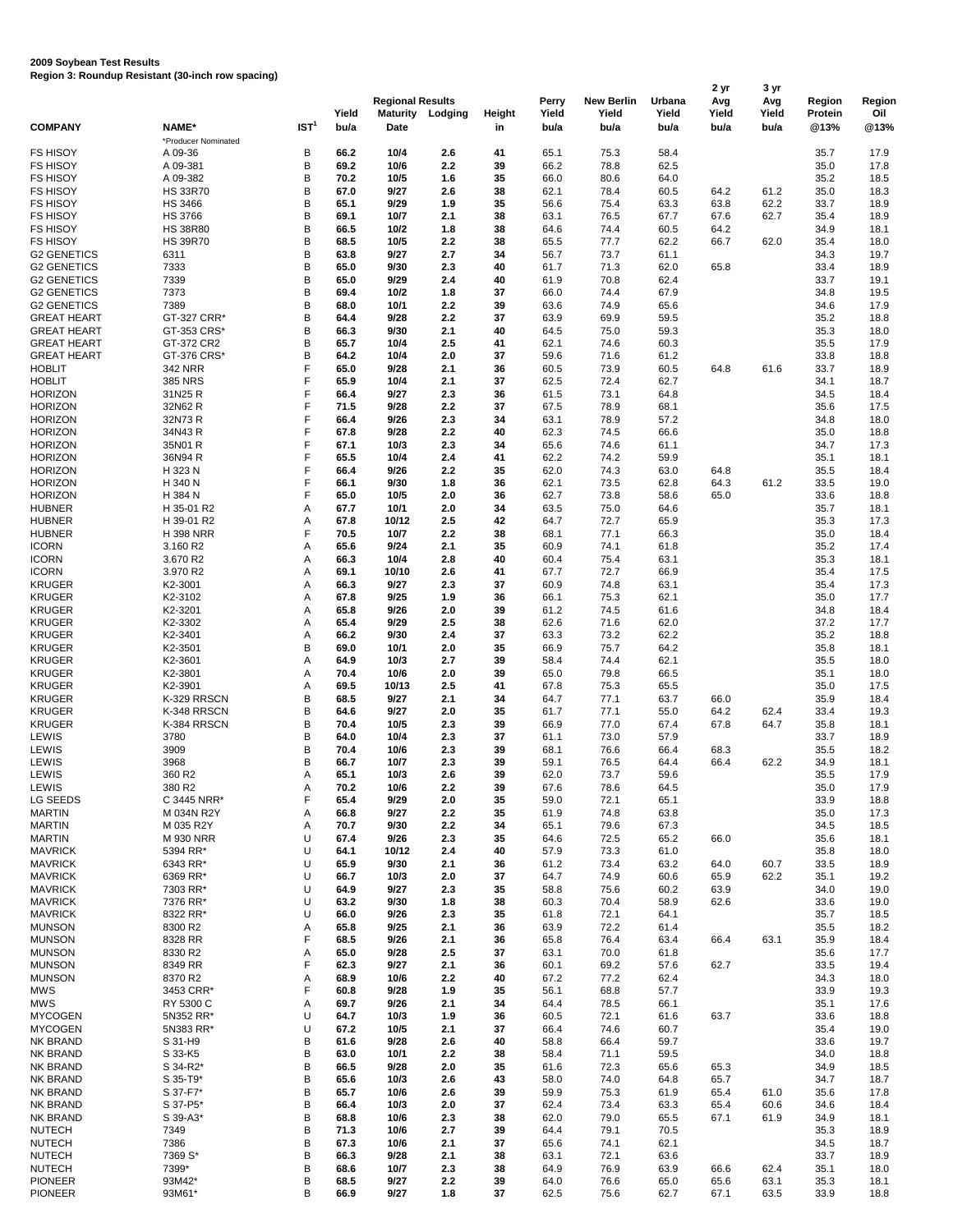## **2009 Soybean Test Results Region 3: Roundup Resistant (30-inch row spacing)**

|                                          |                                  |                  |              | <b>Regional Results</b> |            |               | <b>Perry</b> | <b>New Berlin</b> | <b>Urbana</b> | 2 yr<br>Avg  | 3 yr         | <b>Region</b>  |                      |
|------------------------------------------|----------------------------------|------------------|--------------|-------------------------|------------|---------------|--------------|-------------------|---------------|--------------|--------------|----------------|----------------------|
|                                          |                                  |                  | Yield        | <b>Maturity</b>         | Lodging    | <b>Height</b> | Yield        | Yield             | Yield         | Yield        | Avg<br>Yield | <b>Protein</b> | <b>Region</b><br>Oil |
| <b>COMPANY</b>                           | NAME*<br>*Producer Nominated     | IST <sup>1</sup> | bu/a         | <b>Date</b>             |            | in            | bu/a         | bu/a              | bu/a          | bu/a         | bu/a         | @13%           | @13%                 |
| <b>FS HISOY</b>                          | A 09-36                          | В                | 66.2         | 10/4                    | 2.6        | 41            | 65.1         | 75.3              | 58.4          |              |              | 35.7           | 17.9                 |
| <b>FS HISOY</b>                          | A 09-381                         | B                | 69.2         | 10/6                    | 2.2        | 39            | 66.2         | 78.8              | 62.5          |              |              | 35.0           | 17.8                 |
| <b>FS HISOY</b><br><b>FS HISOY</b>       | A 09-382<br><b>HS 33R70</b>      | B<br>B           | 70.2<br>67.0 | 10/5<br>9/27            | 1.6<br>2.6 | 35<br>38      | 66.0<br>62.1 | 80.6<br>78.4      | 64.0<br>60.5  | 64.2         | 61.2         | 35.2<br>35.0   | 18.5<br>18.3         |
| <b>FS HISOY</b>                          | <b>HS 3466</b>                   | B                | 65.1         | 9/29                    | 1.9        | 35            | 56.6         | 75.4              | 63.3          | 63.8         | 62.2         | 33.7           | 18.9                 |
| <b>FS HISOY</b>                          | <b>HS 3766</b>                   | B                | 69.1         | 10/7                    | 2.1        | 38            | 63.1         | 76.5              | 67.7          | 67.6         | 62.7         | 35.4           | 18.9                 |
| <b>FS HISOY</b>                          | <b>HS 38R80</b>                  | B                | 66.5         | 10/2                    | 1.8        | 38            | 64.6         | 74.4              | 60.5          | 64.2         |              | 34.9           | 18.1                 |
| <b>FS HISOY</b><br><b>G2 GENETICS</b>    | <b>HS 39R70</b><br>6311          | $\sf B$<br>B     | 68.5<br>63.8 | 10/5<br>9/27            | 2.2<br>2.7 | 38<br>34      | 65.5<br>56.7 | 77.7<br>73.7      | 62.2<br>61.1  | 66.7         | 62.0         | 35.4<br>34.3   | 18.0<br>19.7         |
| <b>G2 GENETICS</b>                       | 7333                             | B                | 65.0         | 9/30                    | 2.3        | 40            | 61.7         | 71.3              | 62.0          | 65.8         |              | 33.4           | 18.9                 |
| <b>G2 GENETICS</b>                       | 7339                             | B                | 65.0         | 9/29                    | 2.4        | 40            | 61.9         | 70.8              | 62.4          |              |              | 33.7           | 19.1                 |
| <b>G2 GENETICS</b>                       | 7373                             | B                | 69.4         | 10/2                    | 1.8        | 37            | 66.0         | 74.4              | 67.9          |              |              | 34.8           | 19.5                 |
| <b>G2 GENETICS</b><br><b>GREAT HEART</b> | 7389<br>GT-327 CRR*              | B<br>B           | 68.0<br>64.4 | 10/1<br>9/28            | 2.2<br>2.2 | 39<br>37      | 63.6<br>63.9 | 74.9<br>69.9      | 65.6<br>59.5  |              |              | 34.6<br>35.2   | 17.9<br>18.8         |
| <b>GREAT HEART</b>                       | GT-353 CRS*                      | B                | 66.3         | 9/30                    | 2.1        | 40            | 64.5         | 75.0              | 59.3          |              |              | 35.3           | 18.0                 |
| <b>GREAT HEART</b>                       | GT-372 CR2                       | B                | 65.7         | 10/4                    | 2.5        | 41            | 62.1         | 74.6              | 60.3          |              |              | 35.5           | 17.9                 |
| <b>GREAT HEART</b>                       | GT-376 CRS*                      | B                | 64.2         | 10/4                    | 2.0        | 37            | 59.6         | 71.6              | 61.2          |              |              | 33.8           | 18.8                 |
| <b>HOBLIT</b><br><b>HOBLIT</b>           | <b>342 NRR</b><br><b>385 NRS</b> | F<br>F           | 65.0<br>65.9 | 9/28<br>10/4            | 2.1<br>2.1 | 36<br>37      | 60.5<br>62.5 | 73.9<br>72.4      | 60.5<br>62.7  | 64.8         | 61.6         | 33.7<br>34.1   | 18.9<br>18.7         |
| <b>HORIZON</b>                           | 31N25 R                          | F                | 66.4         | 9/27                    | 2.3        | 36            | 61.5         | 73.1              | 64.8          |              |              | 34.5           | 18.4                 |
| <b>HORIZON</b>                           | 32N62 R                          | F                | 71.5         | 9/28                    | 2.2        | 37            | 67.5         | 78.9              | 68.1          |              |              | 35.6           | 17.5                 |
| <b>HORIZON</b>                           | 32N73 R                          | F                | 66.4         | 9/26                    | 2.3        | 34            | 63.1         | 78.9              | 57.2          |              |              | 34.8           | 18.0                 |
| <b>HORIZON</b><br><b>HORIZON</b>         | 34N43R<br>35N01 R                |                  | 67.8<br>67.1 | 9/28<br>10/3            | 2.2<br>2.3 | 40<br>34      | 62.3<br>65.6 | 74.5<br>74.6      | 66.6<br>61.1  |              |              | 35.0<br>34.7   | 18.8<br>17.3         |
| <b>HORIZON</b>                           | 36N94 R                          |                  | 65.5         | 10/4                    | 2.4        | 41            | 62.2         | 74.2              | 59.9          |              |              | 35.1           | 18.1                 |
| <b>HORIZON</b>                           | H 323 N                          |                  | 66.4         | 9/26                    | 2.2        | 35            | 62.0         | 74.3              | 63.0          | 64.8         |              | 35.5           | 18.4                 |
| <b>HORIZON</b>                           | H 340 N                          | F                | 66.1         | 9/30                    | 1.8        | 36            | 62.1         | 73.5              | 62.8          | 64.3         | 61.2         | 33.5           | 19.0                 |
| <b>HORIZON</b><br><b>HUBNER</b>          | H 384 N<br>H 35-01 R2            | F<br>Α           | 65.0<br>67.7 | 10/5<br>10/1            | 2.0<br>2.0 | 36<br>34      | 62.7<br>63.5 | 73.8<br>75.0      | 58.6<br>64.6  | 65.0         |              | 33.6<br>35.7   | 18.8<br>18.1         |
| <b>HUBNER</b>                            | H 39-01 R2                       | Α                | 67.8         | 10/12                   | 2.5        | 42            | 64.7         | 72.7              | 65.9          |              |              | 35.3           | 17.3                 |
| <b>HUBNER</b>                            | <b>H398 NRR</b>                  | F                | 70.5         | 10/7                    | 2.2        | 38            | 68.1         | 77.1              | 66.3          |              |              | 35.0           | 18.4                 |
| <b>ICORN</b>                             | 3.160 R2                         | A                | 65.6         | 9/24                    | 2.1        | 35            | 60.9         | 74.1              | 61.8          |              |              | 35.2           | 17.4                 |
| <b>ICORN</b><br><b>ICORN</b>             | 3.670 R2<br>3.970 R2             | Α<br>А           | 66.3<br>69.1 | 10/4<br>10/10           | 2.8<br>2.6 | 40<br>41      | 60.4<br>67.7 | 75.4<br>72.7      | 63.1<br>66.9  |              |              | 35.3<br>35.4   | 18.1<br>17.5         |
| <b>KRUGER</b>                            | K2-3001                          | А                | 66.3         | 9/27                    | 2.3        | 37            | 60.9         | 74.8              | 63.1          |              |              | 35.4           | 17.3                 |
| <b>KRUGER</b>                            | K2-3102                          | А                | 67.8         | 9/25                    | 1.9        | 36            | 66.1         | 75.3              | 62.1          |              |              | 35.0           | 17.7                 |
| <b>KRUGER</b>                            | K2-3201                          | А                | 65.8         | 9/26                    | 2.0        | 39            | 61.2         | 74.5              | 61.6          |              |              | 34.8           | 18.4                 |
| <b>KRUGER</b><br><b>KRUGER</b>           | K2-3302<br>K2-3401               | А<br>А           | 65.4<br>66.2 | 9/29<br>9/30            | 2.5<br>2.4 | 38<br>37      | 62.6<br>63.3 | 71.6<br>73.2      | 62.0<br>62.2  |              |              | 37.2<br>35.2   | 17.7<br>18.8         |
| <b>KRUGER</b>                            | K2-3501                          | B                | 69.0         | 10/1                    | 2.0        | 35            | 66.9         | 75.7              | 64.2          |              |              | 35.8           | 18.1                 |
| <b>KRUGER</b>                            | K2-3601                          | А                | 64.9         | 10/3                    | 2.7        | 39            | 58.4         | 74.4              | 62.1          |              |              | 35.5           | 18.0                 |
| <b>KRUGER</b><br><b>KRUGER</b>           | K2-3801<br>K2-3901               | А<br>А           | 70.4<br>69.5 | 10/6<br>10/13           | 2.0<br>2.5 | 39<br>41      | 65.0<br>67.8 | 79.8<br>75.3      | 66.5<br>65.5  |              |              | 35.1<br>35.0   | 18.0<br>17.5         |
| <b>KRUGER</b>                            | K-329 RRSCN                      | B                | 68.5         | 9/27                    | 2.1        | 34            | 64.7         | 77.1              | 63.7          | 66.0         |              | 35.9           | 18.4                 |
| <b>KRUGER</b>                            | K-348 RRSCN                      | B                | 64.6         | 9/27                    | 2.0        | 35            | 61.7         | 77.1              | 55.0          | 64.2         | 62.4         | 33.4           | 19.3                 |
| <b>KRUGER</b>                            | K-384 RRSCN                      | B                | 70.4         | 10/5                    | 2.3        | 39            | 66.9         | 77.0              | 67.4          | 67.8         | 64.7         | 35.8           | 18.1                 |
| <b>LEWIS</b><br>LEWIS                    | 3780<br>3909                     | B<br>B           | 64.0<br>70.4 | 10/4<br>10/6            | 2.3<br>2.3 | 37<br>39      | 61.1<br>68.1 | 73.0<br>76.6      | 57.9<br>66.4  | 68.3         |              | 33.7<br>35.5   | 18.9<br>18.2         |
| LEWIS                                    | 3968                             | B                | 66.7         | 10/7                    | 2.3        | 39            | 59.1         | 76.5              | 64.4          | 66.4         | 62.2         | 34.9           | 18.1                 |
| LEWIS                                    | 360 R2                           | А                | 65.1         | 10/3                    | 2.6        | 39            | 62.0         | 73.7              | 59.6          |              |              | 35.5           | 17.9                 |
| LEWIS                                    | 380 R2                           | Α<br>F           | 70.2         | 10/6                    | 2.2        | 39            | 67.6         | 78.6              | 64.5          |              |              | 35.0           | 17.9                 |
| LG SEEDS<br><b>MARTIN</b>                | C 3445 NRR*<br>M 034N R2Y        | А                | 65.4<br>66.8 | 9/29<br>9/27            | 2.0<br>2.2 | 35<br>35      | 59.0<br>61.9 | 72.1<br>74.8      | 65.1<br>63.8  |              |              | 33.9<br>35.0   | 18.8<br>17.3         |
| <b>MARTIN</b>                            | M 035 R2Y                        | А                | 70.7         | 9/30                    | 2.2        | 34            | 65.1         | 79.6              | 67.3          |              |              | 34.5           | 18.5                 |
| <b>MARTIN</b>                            | M 930 NRR                        | U                | 67.4         | 9/26                    | 2.3        | 35            | 64.6         | 72.5              | 65.2          | 66.0         |              | 35.6           | 18.1                 |
| <b>MAVRICK</b><br><b>MAVRICK</b>         | 5394 RR*<br>6343 RR*             | U<br>U           | 64.1<br>65.9 | 10/12<br>9/30           | 2.4<br>2.1 | 40<br>36      | 57.9<br>61.2 | 73.3<br>73.4      | 61.0<br>63.2  | 64.0         | 60.7         | 35.8<br>33.5   | 18.0<br>18.9         |
| <b>MAVRICK</b>                           | 6369 RR*                         | U                | 66.7         | 10/3                    | 2.0        | 37            | 64.7         | 74.9              | 60.6          | 65.9         | 62.2         | 35.1           | 19.2                 |
| <b>MAVRICK</b>                           | 7303 RR*                         | U                | 64.9         | 9/27                    | 2.3        | 35            | 58.8         | 75.6              | 60.2          | 63.9         |              | 34.0           | 19.0                 |
| <b>MAVRICK</b>                           | 7376 RR*                         | U                | 63.2         | 9/30                    | 1.8        | 38            | 60.3         | 70.4              | 58.9          | 62.6         |              | 33.6           | 19.0                 |
| <b>MAVRICK</b><br><b>MUNSON</b>          | 8322 RR*<br>8300 R2              | U<br>А           | 66.0<br>65.8 | 9/26<br>9/25            | 2.3<br>2.1 | 35<br>36      | 61.8<br>63.9 | 72.1<br>72.2      | 64.1<br>61.4  |              |              | 35.7<br>35.5   | 18.5<br>18.2         |
| <b>MUNSON</b>                            | 8328 RR                          | F                | 68.5         | 9/26                    | 2.1        | 36            | 65.8         | 76.4              | 63.4          | 66.4         | 63.1         | 35.9           | 18.4                 |
| <b>MUNSON</b>                            | 8330 R2                          | A                | 65.0         | 9/28                    | 2.5        | 37            | 63.1         | 70.0              | 61.8          |              |              | 35.6           | 17.7                 |
| <b>MUNSON</b>                            | 8349 RR                          |                  | 62.3         | 9/27                    | 2.1        | 36            | 60.1         | 69.2              | 57.6          | 62.7         |              | 33.5           | 19.4                 |
| <b>MUNSON</b><br>MWS                     | 8370 R2<br>3453 CRR*             | Α                | 68.9<br>60.8 | 10/6<br>9/28            | 2.2<br>1.9 | 40<br>35      | 67.2<br>56.1 | 77.2<br>68.8      | 62.4<br>57.7  |              |              | 34.3<br>33.9   | 18.0<br>19.3         |
| <b>MWS</b>                               | RY 5300 C                        | Α                | 69.7         | 9/26                    | 2.1        | 34            | 64.4         | 78.5              | 66.1          |              |              | 35.1           | 17.6                 |
| <b>MYCOGEN</b>                           | 5N352 RR*                        | U                | 64.7         | 10/3                    | 1.9        | 36            | 60.5         | 72.1              | 61.6          | 63.7         |              | 33.6           | 18.8                 |
| <b>MYCOGEN</b>                           | 5N383 RR*                        | U                | 67.2         | 10/5                    | 2.1        | 37            | 66.4         | 74.6              | 60.7          |              |              | 35.4           | 19.0                 |
| <b>NK BRAND</b><br>NK BRAND              | S 31-H9<br>S 33-K5               | Β<br>B           | 61.6<br>63.0 | 9/28<br>10/1            | 2.6<br>2.2 | 40<br>38      | 58.8<br>58.4 | 66.4<br>71.1      | 59.7<br>59.5  |              |              | 33.6<br>34.0   | 19.7<br>18.8         |
| NK BRAND                                 | S 34-R2*                         | B                | 66.5         | 9/28                    | 2.0        | 35            | 61.6         | 72.3              | 65.6          | 65.3         |              | 34.9           | 18.5                 |
| NK BRAND                                 | S 35-T9*                         | B                | 65.6         | 10/3                    | 2.6        | 43            | 58.0         | 74.0              | 64.8          | 65.7         |              | 34.7           | 18.7                 |
| NK BRAND<br>NK BRAND                     | S 37-F7*<br>S 37-P5*             | B<br>B           | 65.7<br>66.4 | 10/6<br>10/3            | 2.6<br>2.0 | 39<br>37      | 59.9<br>62.4 | 75.3<br>73.4      | 61.9<br>63.3  | 65.4<br>65.4 | 61.0         | 35.6           | 17.8                 |
| NK BRAND                                 | S 39-A3*                         | B                | 68.8         | 10/6                    | 2.3        | 38            | 62.0         | 79.0              | 65.5          | 67.1         | 60.6<br>61.9 | 34.6<br>34.9   | 18.4<br>18.1         |
| <b>NUTECH</b>                            | 7349                             | B                | 71.3         | 10/6                    | 2.7        | 39            | 64.4         | 79.1              | 70.5          |              |              | 35.3           | 18.9                 |
| <b>NUTECH</b>                            | 7386                             | B                | 67.3         | 10/6                    | 2.1        | 37            | 65.6         | 74.1              | 62.1          |              |              | 34.5           | 18.7                 |
| <b>NUTECH</b><br><b>NUTECH</b>           | 7369 S*<br>7399*                 | B<br>B           | 66.3<br>68.6 | 9/28<br>10/7            | 2.1<br>2.3 | 38<br>38      | 63.1<br>64.9 | 72.1<br>76.9      | 63.6<br>63.9  | 66.6         | 62.4         | 33.7<br>35.1   | 18.9<br>18.0         |
| <b>PIONEER</b>                           | 93M42*                           | B                | 68.5         | 9/27                    | 2.2        | 39            | 64.0         | 76.6              | 65.0          | 65.6         | 63.1         | 35.3           | 18.1                 |
| <b>PIONEER</b>                           | 93M61*                           | B                | 66.9         | 9/27                    | 1.8        | 37            | 62.5         | 75.6              | 62.7          | 67.1         | 63.5         | 33.9           | 18.8                 |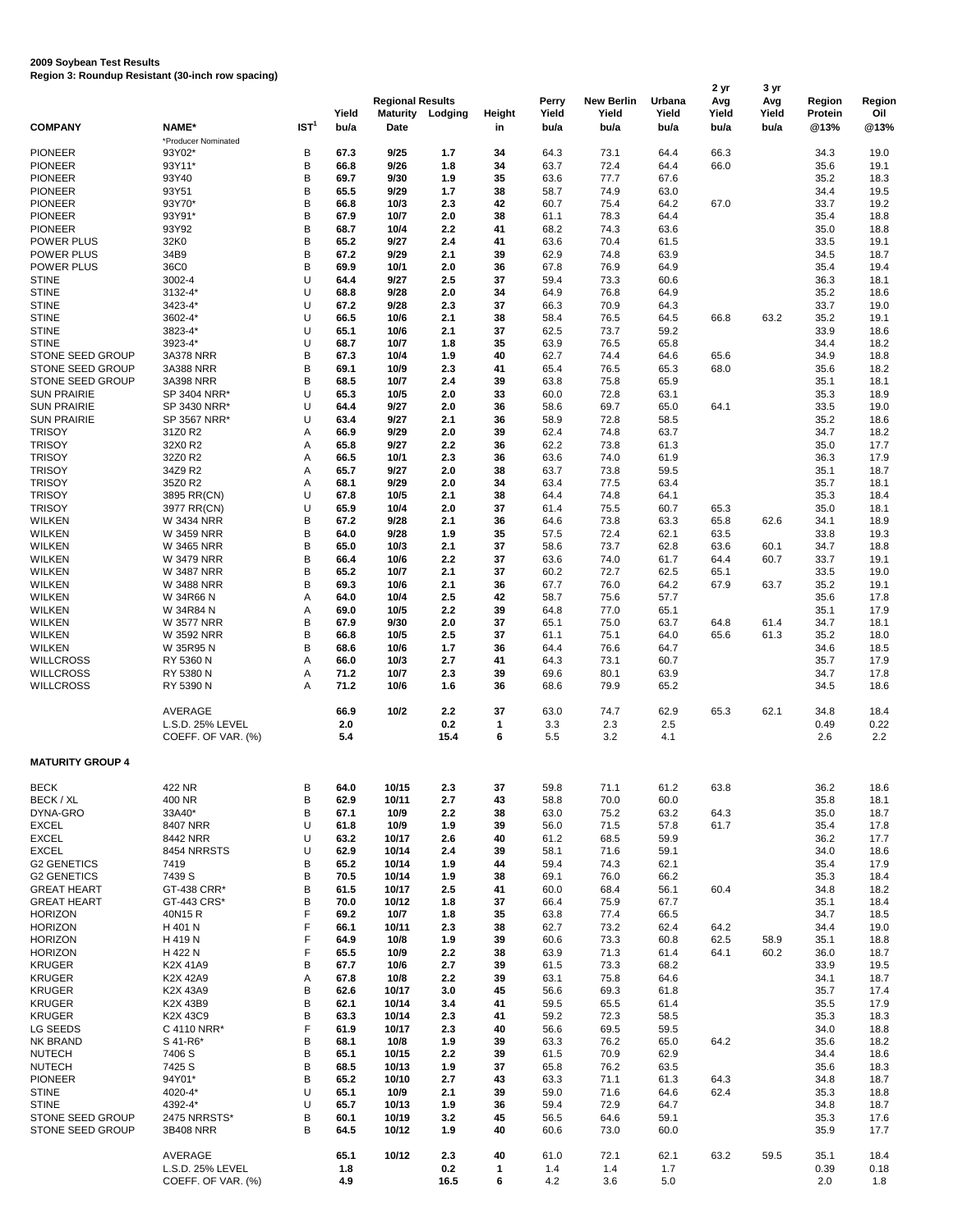## **2009 Soybean Test Results Region 3: Roundup Resistant (30-inch row spacing)**

|                                             |                               |                  | Yield        | <b>Regional Results</b><br><b>Maturity</b> | Lodging     | Height                         | Perry<br>Yield | <b>New Berlin</b><br>Yield | Urbana<br>Yield | 2 yr<br>Avg<br>Yield | 3 yr<br>Avg<br>Yield | <b>Region</b><br><b>Protein</b> | <b>Region</b><br>Oil |
|---------------------------------------------|-------------------------------|------------------|--------------|--------------------------------------------|-------------|--------------------------------|----------------|----------------------------|-----------------|----------------------|----------------------|---------------------------------|----------------------|
| <b>COMPANY</b>                              | NAME*                         | IST <sup>1</sup> | bu/a         | <b>Date</b>                                |             | in                             | bu/a           | bu/a                       | bu/a            | bu/a                 | bu/a                 | @13%                            | @13%                 |
| <b>PIONEER</b>                              | *Producer Nominated<br>93Y02* | В                | 67.3         | 9/25                                       | $1.7$       | 34                             | 64.3           | 73.1                       | 64.4            | 66.3                 |                      | 34.3                            | 19.0                 |
| <b>PIONEER</b>                              | 93Y11*                        | B                | 66.8         | 9/26                                       | 1.8         | 34                             | 63.7           | 72.4                       | 64.4            | 66.0                 |                      | 35.6                            | 19.1                 |
| <b>PIONEER</b>                              | 93Y40                         | B                | 69.7         | 9/30                                       | 1.9         | 35                             | 63.6           | 77.7                       | 67.6            |                      |                      | 35.2                            | 18.3                 |
| <b>PIONEER</b>                              | 93Y51                         | B                | 65.5         | 9/29                                       | 1.7         | 38                             | 58.7           | 74.9                       | 63.0            |                      |                      | 34.4                            | 19.5                 |
| <b>PIONEER</b>                              | 93Y70*                        | B                | 66.8         | 10/3                                       | 2.3         | 42                             | 60.7           | 75.4                       | 64.2            | 67.0                 |                      | 33.7                            | 19.2                 |
| <b>PIONEER</b>                              | 93Y91*                        | B                | 67.9         | 10/7                                       | 2.0         | 38                             | 61.1           | 78.3                       | 64.4            |                      |                      | 35.4                            | 18.8                 |
| <b>PIONEER</b>                              | 93Y92                         | B                | 68.7         | 10/4                                       | 2.2         | 41                             | 68.2           | 74.3                       | 63.6            |                      |                      | 35.0                            | 18.8                 |
| <b>POWER PLUS</b><br><b>POWER PLUS</b>      | 32K0<br>34B9                  | B<br>B           | 65.2<br>67.2 | 9/27<br>9/29                               | 2.4<br>2.1  | 41<br>39                       | 63.6<br>62.9   | 70.4<br>74.8               | 61.5<br>63.9    |                      |                      | 33.5<br>34.5                    | 19.1<br>18.7         |
| <b>POWER PLUS</b>                           | 36C0                          | B                | 69.9         | 10/1                                       | 2.0         | 36                             | 67.8           | 76.9                       | 64.9            |                      |                      | 35.4                            | 19.4                 |
| <b>STINE</b>                                | 3002-4                        | U                | 64.4         | 9/27                                       | 2.5         | 37                             | 59.4           | 73.3                       | 60.6            |                      |                      | 36.3                            | 18.1                 |
| <b>STINE</b>                                | 3132-4*                       | U                | 68.8         | 9/28                                       | 2.0         | 34                             | 64.9           | 76.8                       | 64.9            |                      |                      | 35.2                            | 18.6                 |
| <b>STINE</b>                                | 3423-4*                       | U                | 67.2         | 9/28                                       | 2.3         | 37                             | 66.3           | 70.9                       | 64.3            |                      |                      | 33.7                            | 19.0                 |
| <b>STINE</b>                                | 3602-4*                       | U                | 66.5         | 10/6                                       | 2.1         | 38                             | 58.4           | 76.5                       | 64.5            | 66.8                 | 63.2                 | 35.2                            | 19.1                 |
| <b>STINE</b>                                | 3823-4*                       | U                | 65.1         | 10/6                                       | 2.1         | 37                             | 62.5           | 73.7                       | 59.2            |                      |                      | 33.9                            | 18.6                 |
| <b>STINE</b>                                | 3923-4*                       | U                | 68.7         | 10/7                                       | 1.8         | 35                             | 63.9           | 76.5                       | 65.8            |                      |                      | 34.4                            | 18.2                 |
| STONE SEED GROUP<br>STONE SEED GROUP        | <b>3A378 NRR</b><br>3A388 NRR | B<br>B           | 67.3<br>69.1 | 10/4<br>10/9                               | 1.9<br>2.3  | 40                             | 62.7<br>65.4   | 74.4<br>76.5               | 64.6<br>65.3    | 65.6<br>68.0         |                      | 34.9                            | 18.8<br>18.2         |
| STONE SEED GROUP                            | 3A398 NRR                     | B                | 68.5         | 10/7                                       | 2.4         | 41<br>39                       | 63.8           | 75.8                       | 65.9            |                      |                      | 35.6<br>35.1                    | 18.1                 |
| <b>SUN PRAIRIE</b>                          | SP 3404 NRR*                  | U                | 65.3         | 10/5                                       | 2.0         | 33                             | 60.0           | 72.8                       | 63.1            |                      |                      | 35.3                            | 18.9                 |
| <b>SUN PRAIRIE</b>                          | SP 3430 NRR*                  | U                | 64.4         | 9/27                                       | 2.0         | 36                             | 58.6           | 69.7                       | 65.0            | 64.1                 |                      | 33.5                            | 19.0                 |
| <b>SUN PRAIRIE</b>                          | SP 3567 NRR*                  | U                | 63.4         | 9/27                                       | 2.1         | 36                             | 58.9           | 72.8                       | 58.5            |                      |                      | 35.2                            | 18.6                 |
| <b>TRISOY</b>                               | 31Z0 R2                       | A                | 66.9         | 9/29                                       | 2.0         | 39                             | 62.4           | 74.8                       | 63.7            |                      |                      | 34.7                            | 18.2                 |
| <b>TRISOY</b>                               | 32X0 R2                       | Α                | 65.8         | 9/27                                       | 2.2         | 36                             | 62.2           | 73.8                       | 61.3            |                      |                      | 35.0                            | 17.7                 |
| <b>TRISOY</b>                               | 32Z0 R2                       | Α                | 66.5         | 10/1                                       | 2.3         | 36                             | 63.6           | 74.0                       | 61.9            |                      |                      | 36.3                            | 17.9                 |
| <b>TRISOY</b>                               | 34Z9 R2                       | Α                | 65.7         | 9/27                                       | 2.0         | 38                             | 63.7           | 73.8                       | 59.5            |                      |                      | 35.1                            | 18.7                 |
| <b>TRISOY</b>                               | 35Z0 R2                       | Α                | 68.1         | 9/29                                       | 2.0         | 34                             | 63.4           | 77.5                       | 63.4            |                      |                      | 35.7                            | 18.1                 |
| <b>TRISOY</b><br><b>TRISOY</b>              | 3895 RR(CN)<br>3977 RR(CN)    | U<br>U           | 67.8<br>65.9 | 10/5<br>$10/4$                             | 2.1         | 38<br>37                       | 64.4<br>61.4   | 74.8                       | 64.1            |                      |                      | 35.3                            | 18.4                 |
| <b>WILKEN</b>                               | <b>W 3434 NRR</b>             | B                | 67.2         | 9/28                                       | 2.0<br>2.1  | 36                             | 64.6           | 75.5<br>73.8               | 60.7<br>63.3    | 65.3<br>65.8         | 62.6                 | 35.0<br>34.1                    | 18.1<br>18.9         |
| <b>WILKEN</b>                               | W 3459 NRR                    | B                | 64.0         | 9/28                                       | 1.9         | 35                             | 57.5           | 72.4                       | 62.1            | 63.5                 |                      | 33.8                            | 19.3                 |
| <b>WILKEN</b>                               | W 3465 NRR                    | В                | 65.0         | $10/3$                                     | 2.1         | 37                             | 58.6           | 73.7                       | 62.8            | 63.6                 | 60.1                 | 34.7                            | 18.8                 |
| <b>WILKEN</b>                               | <b>W 3479 NRR</b>             | B                | 66.4         | 10/6                                       | 2.2         | 37                             | 63.6           | 74.0                       | 61.7            | 64.4                 | 60.7                 | 33.7                            | 19.1                 |
| <b>WILKEN</b>                               | <b>W 3487 NRR</b>             | B                | 65.2         | 10/7                                       | 2.1         | 37                             | 60.2           | 72.7                       | 62.5            | 65.1                 |                      | 33.5                            | 19.0                 |
| <b>WILKEN</b>                               | <b>W 3488 NRR</b>             | B                | 69.3         | 10/6                                       | 2.1         | 36                             | 67.7           | 76.0                       | 64.2            | 67.9                 | 63.7                 | 35.2                            | 19.1                 |
| <b>WILKEN</b>                               | W 34R66 N                     | А                | 64.0         | $10/4$                                     | 2.5         | 42                             | 58.7           | 75.6                       | 57.7            |                      |                      | 35.6                            | 17.8                 |
| <b>WILKEN</b>                               | W 34R84 N                     | А                | 69.0         | 10/5                                       | 2.2         | 39                             | 64.8           | 77.0                       | 65.1            |                      |                      | 35.1                            | 17.9                 |
| <b>WILKEN</b>                               | <b>W 3577 NRR</b>             | B                | 67.9         | 9/30                                       | 2.0         | 37                             | 65.1           | 75.0                       | 63.7            | 64.8                 | 61.4                 | 34.7                            | 18.1                 |
| <b>WILKEN</b><br><b>WILKEN</b>              | W 3592 NRR<br>W 35R95 N       | B<br>B           | 66.8<br>68.6 | 10/5<br>10/6                               | 2.5<br>1.7  | 37<br>36                       | 61.1<br>64.4   | 75.1<br>76.6               | 64.0<br>64.7    | 65.6                 | 61.3                 | 35.2<br>34.6                    | 18.0<br>18.5         |
| <b>WILLCROSS</b>                            | RY 5360 N                     | A                | 66.0         | 10/3                                       | 2.7         | 41                             | 64.3           | 73.1                       | 60.7            |                      |                      | 35.7                            | 17.9                 |
| <b>WILLCROSS</b>                            | RY 5380 N                     | Α                | 71.2         | 10/7                                       | 2.3         | 39                             | 69.6           | 80.1                       | 63.9            |                      |                      | 34.7                            | 17.8                 |
| <b>WILLCROSS</b>                            | RY 5390 N                     | A                | 71.2         | 10/6                                       | 1.6         | 36                             | 68.6           | 79.9                       | 65.2            |                      |                      | 34.5                            | 18.6                 |
|                                             | AVERAGE<br>L.S.D. 25% LEVEL   |                  | 66.9         | 10/2                                       | 2.2         | 37                             | 63.0           | 74.7                       | 62.9            | 65.3                 | 62.1                 | 34.8                            | 18.4                 |
|                                             | COEFF. OF VAR. (%)            |                  | 2.0<br>5.4   |                                            | 0.2<br>15.4 | $\mathbf 1$<br>$6\phantom{1}6$ | 3.3<br>5.5     | 2.3<br>3.2                 | 2.5<br>4.1      |                      |                      | 0.49<br>2.6                     | 0.22<br>2.2          |
| <b>MATURITY GROUP 4</b>                     |                               |                  |              |                                            |             |                                |                |                            |                 |                      |                      |                                 |                      |
| <b>BECK</b>                                 | 422 NR                        | B                | 64.0         | 10/15                                      | 2.3         | 37                             | 59.8           | 71.1                       | 61.2            | 63.8                 |                      | 36.2                            | 18.6                 |
| BECK / XL                                   | 400 NR                        | B                | 62.9         | 10/11                                      | 2.7         | 43                             | 58.8           | 70.0                       | 60.0            |                      |                      | 35.8                            | 18.1                 |
| DYNA-GRO                                    | 33A40*                        | B                | 67.1         | 10/9                                       | 2.2         | 38                             | 63.0           | 75.2                       | 63.2            | 64.3                 |                      | 35.0                            | 18.7                 |
| <b>EXCEL</b>                                | 8407 NRR                      | U                | 61.8         | 10/9                                       | 1.9         | 39                             | 56.0           | 71.5                       | 57.8            | 61.7                 |                      | 35.4                            | 17.8                 |
| <b>EXCEL</b>                                | 8442 NRR                      | U                | 63.2         | 10/17                                      | 2.6         | 40                             | 61.2           | 68.5                       | 59.9            |                      |                      | 36.2                            | 17.7                 |
| <b>EXCEL</b>                                | 8454 NRRSTS                   | U                | 62.9         | 10/14                                      | 2.4         | 39                             | 58.1           | 71.6                       | 59.1            |                      |                      | 34.0                            | 18.6                 |
| <b>G2 GENETICS</b><br><b>G2 GENETICS</b>    | 7419                          | B                | 65.2         | 10/14                                      | 1.9         | 44                             | 59.4           | 74.3                       | 62.1            |                      |                      | 35.4                            | 17.9                 |
| <b>GREAT HEART</b>                          | 7439 S<br>GT-438 CRR*         | B<br>B           | 70.5<br>61.5 | 10/14<br>10/17                             | 1.9<br>2.5  | 38<br>41                       | 69.1<br>60.0   | 76.0<br>68.4               | 66.2<br>56.1    | 60.4                 |                      | 35.3<br>34.8                    | 18.4<br>18.2         |
| <b>GREAT HEART</b>                          | GT-443 CRS*                   | B                | 70.0         | 10/12                                      | 1.8         | 37                             | 66.4           | 75.9                       | 67.7            |                      |                      | 35.1                            | 18.4                 |
| <b>HORIZON</b>                              | 40N15R                        | F                | 69.2         | 10/7                                       | 1.8         | 35                             | 63.8           | 77.4                       | 66.5            |                      |                      | 34.7                            | 18.5                 |
| <b>HORIZON</b>                              | H 401 N                       | F                | 66.1         | 10/11                                      | 2.3         | 38                             | 62.7           | 73.2                       | 62.4            | 64.2                 |                      | 34.4                            | 19.0                 |
| <b>HORIZON</b>                              | H 419 N                       | F                | 64.9         | 10/8                                       | 1.9         | 39                             | 60.6           | 73.3                       | 60.8            | 62.5                 | 58.9                 | 35.1                            | 18.8                 |
| <b>HORIZON</b>                              | H 422 N                       | F                | 65.5         | 10/9                                       | 2.2         | 38                             | 63.9           | 71.3                       | 61.4            | 64.1                 | 60.2                 | 36.0                            | 18.7                 |
| <b>KRUGER</b>                               | K2X 41A9                      | B                | 67.7         | 10/6                                       | 2.7         | 39                             | 61.5           | 73.3                       | 68.2            |                      |                      | 33.9                            | 19.5                 |
| <b>KRUGER</b>                               | K2X 42A9                      | Α                | 67.8         | 10/8                                       | 2.2         | 39                             | 63.1           | 75.8                       | 64.6            |                      |                      | 34.1                            | 18.7                 |
| <b>KRUGER</b>                               | K2X 43A9                      | В                | 62.6         | 10/17                                      | 3.0         | 45                             | 56.6           | 69.3                       | 61.8            |                      |                      | 35.7                            | 17.4                 |
| <b>KRUGER</b><br><b>KRUGER</b>              | K2X 43B9                      | В                | 62.1         | 10/14<br>10/14                             | 3.4         | 41                             | 59.5           | 65.5                       | 61.4            |                      |                      | 35.5                            | 17.9                 |
| LG SEEDS                                    | K2X 43C9<br>C 4110 NRR*       | B                | 63.3<br>61.9 | 10/17                                      | 2.3<br>2.3  | 41<br>40                       | 59.2<br>56.6   | 72.3<br>69.5               | 58.5<br>59.5    |                      |                      | 35.3<br>34.0                    | 18.3<br>18.8         |
| NK BRAND                                    | S 41-R6*                      | В                | 68.1         | 10/8                                       | 1.9         | 39                             | 63.3           | 76.2                       | 65.0            | 64.2                 |                      | 35.6                            | 18.2                 |
| <b>NUTECH</b>                               | 7406 S                        | В                | 65.1         | 10/15                                      | 2.2         | 39                             | 61.5           | 70.9                       | 62.9            |                      |                      | 34.4                            | 18.6                 |
| <b>NUTECH</b>                               | 7425 S                        | В                | 68.5         | 10/13                                      | 1.9         | 37                             | 65.8           | 76.2                       | 63.5            |                      |                      | 35.6                            | 18.3                 |
| <b>PIONEER</b>                              | 94Y01*                        | B                | 65.2         | 10/10                                      | 2.7         | 43                             | 63.3           | 71.1                       | 61.3            | 64.3                 |                      | 34.8                            | 18.7                 |
| <b>STINE</b>                                | 4020-4*                       | U                | 65.1         | 10/9                                       | 2.1         | 39                             | 59.0           | 71.6                       | 64.6            | 62.4                 |                      | 35.3                            | 18.8                 |
| <b>STINE</b>                                | 4392-4*                       | U                | 65.7         | 10/13                                      | 1.9         | 36                             | 59.4           | 72.9                       | 64.7            |                      |                      | 34.8                            | 18.7                 |
| <b>STONE SEED GROUP</b><br>STONE SEED GROUP | 2475 NRRSTS*<br>3B408 NRR     | В<br>B           | 60.1<br>64.5 | 10/19<br>10/12                             | 3.2<br>1.9  | 45<br>40                       | 56.5<br>60.6   | 64.6<br>73.0               | 59.1<br>60.0    |                      |                      | 35.3<br>35.9                    | 17.6<br>17.7         |
|                                             | AVERAGE                       |                  | 65.1         | 10/12                                      | 2.3         | 40                             | 61.0           | 72.1                       | 62.1            | 63.2                 | 59.5                 | 35.1                            | 18.4                 |
|                                             | L.S.D. 25% LEVEL              |                  | 1.8          |                                            | 0.2         | $\mathbf{1}$                   | 1.4            | 1.4                        | 1.7             |                      |                      | 0.39                            | 0.18                 |
|                                             | COEFF. OF VAR. (%)            |                  | 4.9          |                                            | 16.5        | 6                              | 4.2            | 3.6                        | 5.0             |                      |                      | 2.0                             | 1.8                  |